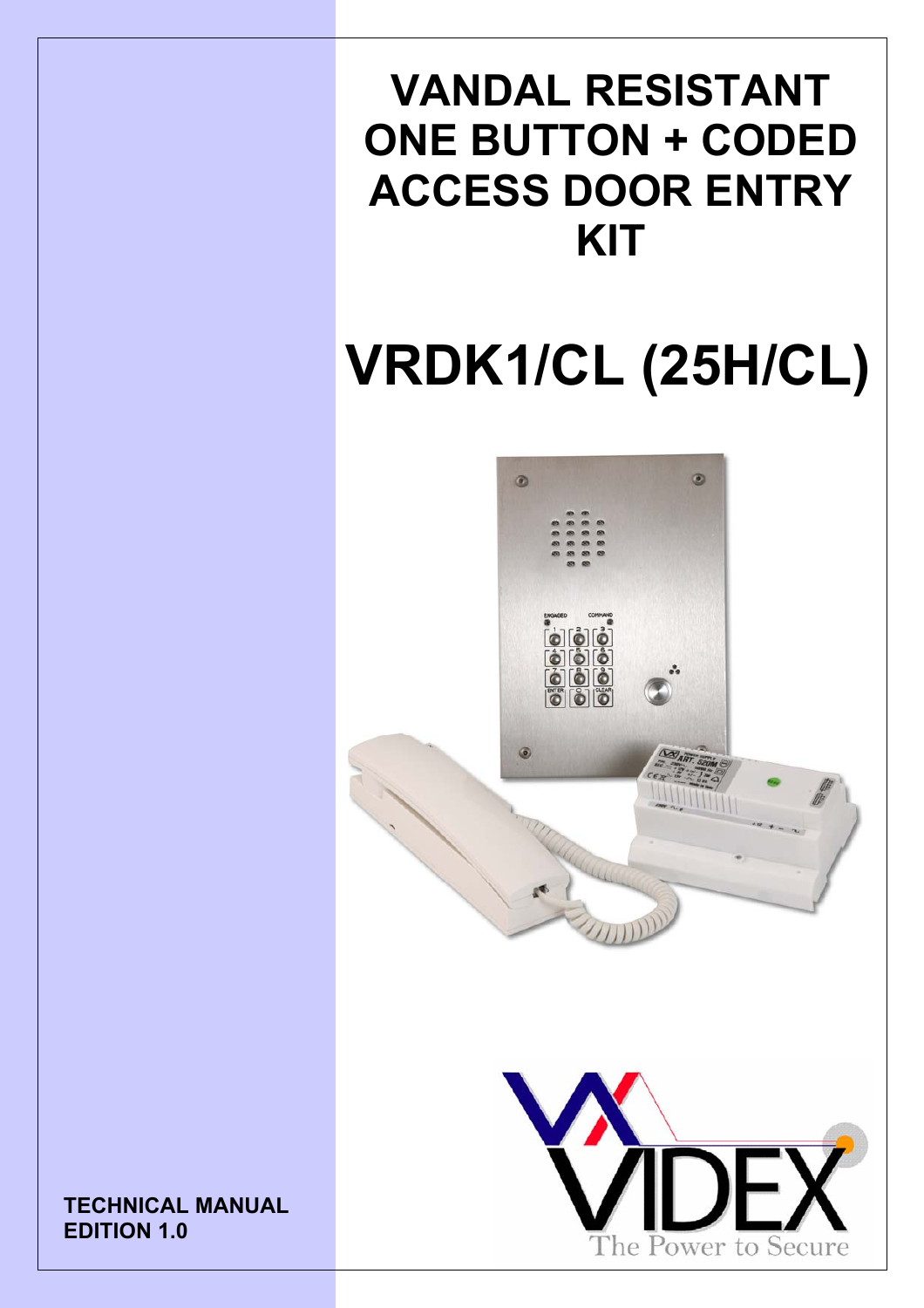## **VANDAL RESISTANT ONE BUTTON + CODED ACCESS DOOR ENTRY KIT**

# **VRDK1/CL (25H/CL)**



**TECHNICAL MANUAL EDITION 1.0**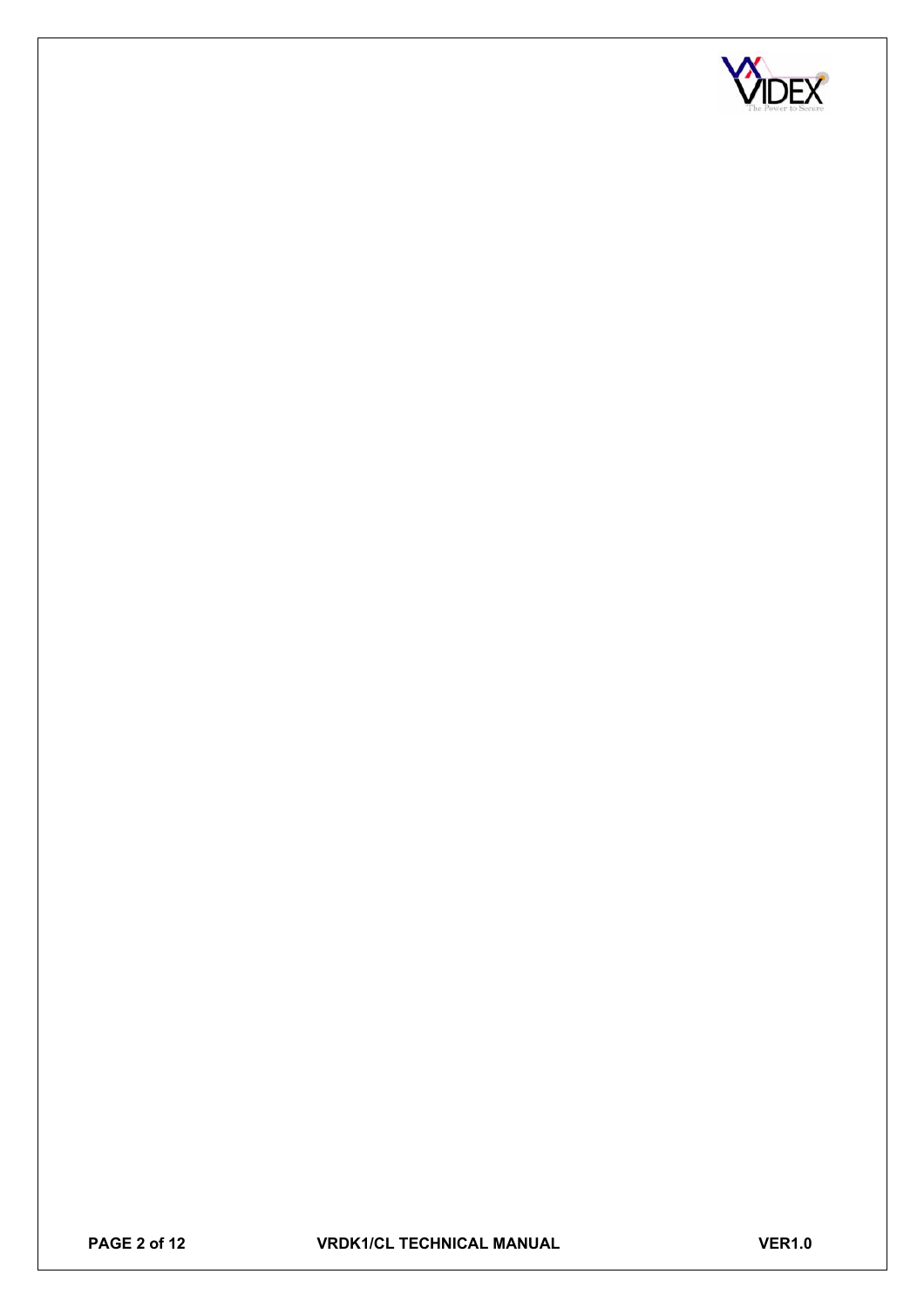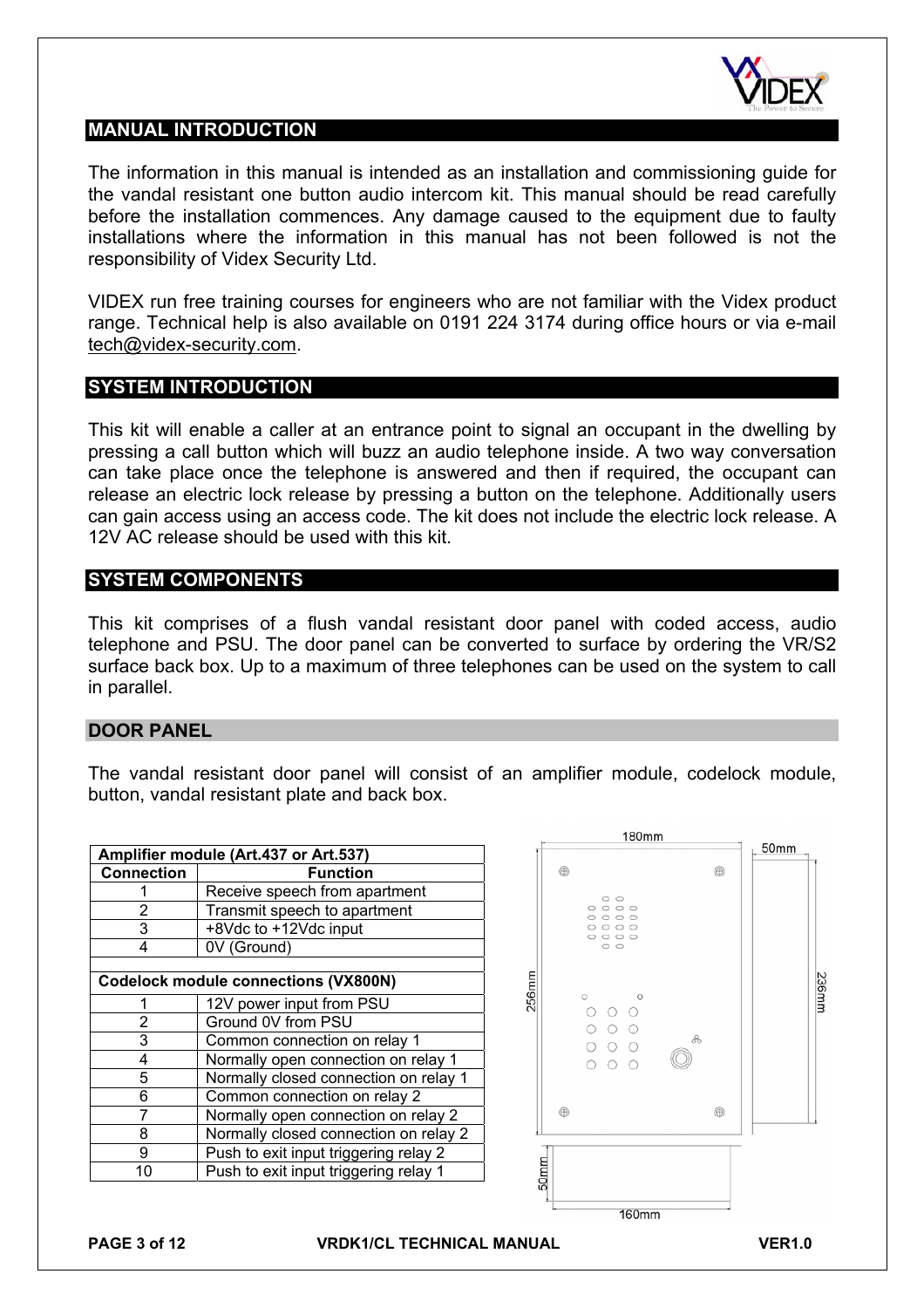

#### **MANUAL INTRODUCTION**

The information in this manual is intended as an installation and commissioning guide for the vandal resistant one button audio intercom kit. This manual should be read carefully before the installation commences. Any damage caused to the equipment due to faulty installations where the information in this manual has not been followed is not the responsibility of Videx Security Ltd.

VIDEX run free training courses for engineers who are not familiar with the Videx product range. Technical help is also available on 0191 224 3174 during office hours or via e-mail tech@videx-security.com.

#### **SYSTEM INTRODUCTION**

This kit will enable a caller at an entrance point to signal an occupant in the dwelling by pressing a call button which will buzz an audio telephone inside. A two way conversation can take place once the telephone is answered and then if required, the occupant can release an electric lock release by pressing a button on the telephone. Additionally users can gain access using an access code. The kit does not include the electric lock release. A 12V AC release should be used with this kit.

#### **SYSTEM COMPONENTS**

This kit comprises of a flush vandal resistant door panel with coded access, audio telephone and PSU. The door panel can be converted to surface by ordering the VR/S2 surface back box. Up to a maximum of three telephones can be used on the system to call in parallel.

#### **DOOR PANEL**

The vandal resistant door panel will consist of an amplifier module, codelock module, button, vandal resistant plate and back box.

| Amplifier module (Art.437 or Art.537)       |                                       |  |
|---------------------------------------------|---------------------------------------|--|
| <b>Connection</b>                           | <b>Function</b>                       |  |
|                                             | Receive speech from apartment         |  |
| 2                                           | Transmit speech to apartment          |  |
| 3                                           | +8Vdc to +12Vdc input                 |  |
| 4                                           | 0V (Ground)                           |  |
|                                             |                                       |  |
| <b>Codelock module connections (VX800N)</b> |                                       |  |
|                                             | 12V power input from PSU              |  |
| 2                                           | Ground 0V from PSU                    |  |
| 3                                           | Common connection on relay 1          |  |
| 4                                           | Normally open connection on relay 1   |  |
| 5                                           | Normally closed connection on relay 1 |  |
| 6                                           | Common connection on relay 2          |  |
| 7                                           | Normally open connection on relay 2   |  |
| 8                                           | Normally closed connection on relay 2 |  |
| 9                                           | Push to exit input triggering relay 2 |  |
| 10                                          | Push to exit input triggering relay 1 |  |

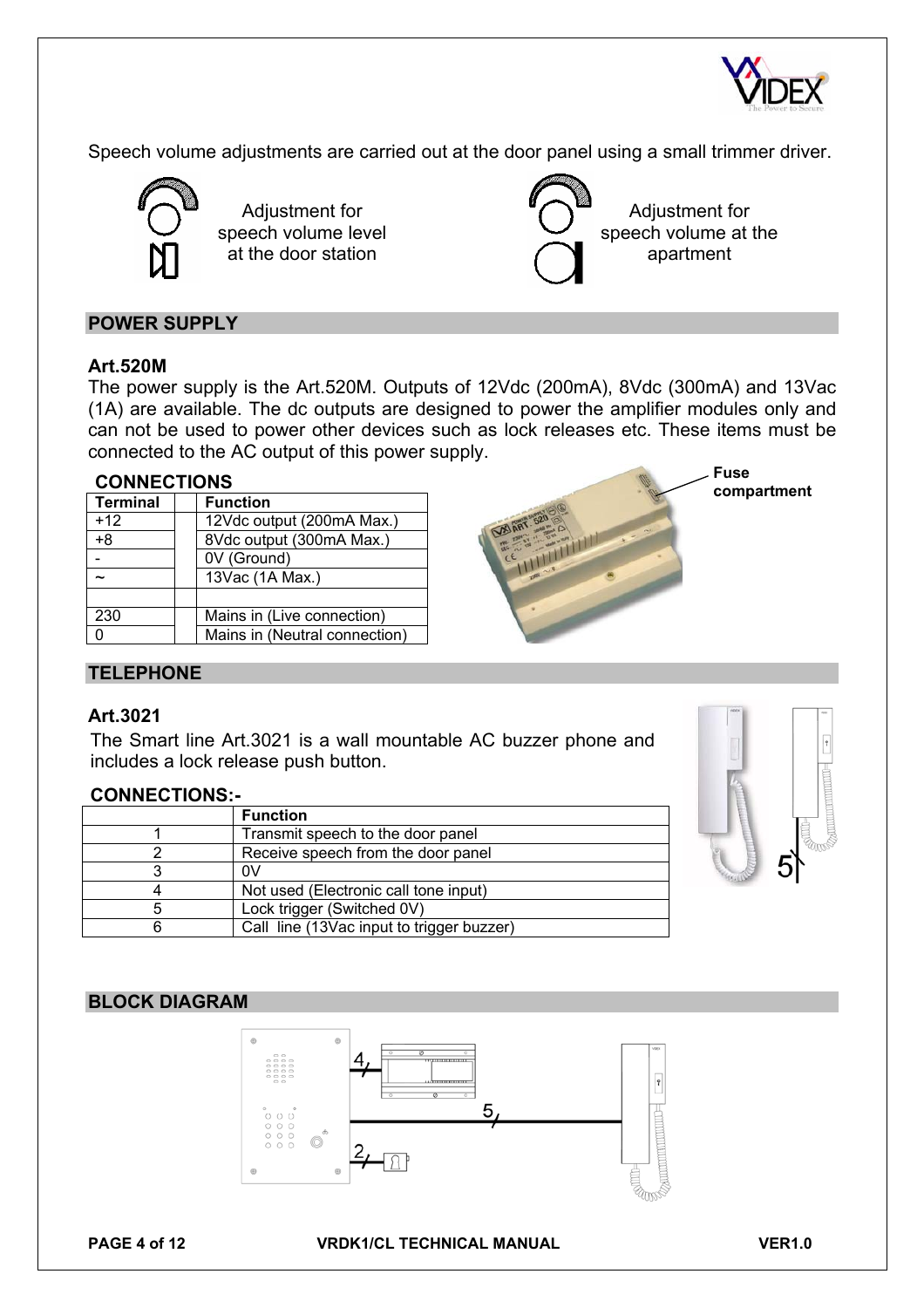

Speech volume adjustments are carried out at the door panel using a small trimmer driver.



Adjustment for speech volume level at the door station



Adjustment for speech volume at the apartment

#### **POWER SUPPLY**

#### **Art.520M**

The power supply is the Art.520M. Outputs of 12Vdc (200mA), 8Vdc (300mA) and 13Vac (1A) are available. The dc outputs are designed to power the amplifier modules only and can not be used to power other devices such as lock releases etc. These items must be connected to the AC output of this power supply.

#### **CONNECTIONS**

| <b>Terminal</b> | <b>Function</b>               |
|-----------------|-------------------------------|
| $+12$           | 12Vdc output (200mA Max.)     |
| +8              | 8Vdc output (300mA Max.)      |
|                 | 0V (Ground)                   |
|                 | 13Vac (1A Max.)               |
|                 |                               |
| 230             | Mains in (Live connection)    |
|                 | Mains in (Neutral connection) |



#### **TELEPHONE**

#### **Art.3021**

The Smart line Art.3021 is a wall mountable AC buzzer phone and includes a lock release push button.

#### **CONNECTIONS:-**

| <b>Function</b>                           |
|-------------------------------------------|
| Transmit speech to the door panel         |
| Receive speech from the door panel        |
| ΩV                                        |
| Not used (Electronic call tone input)     |
| Lock trigger (Switched 0V)                |
| Call line (13Vac input to trigger buzzer) |



#### **BLOCK DIAGRAM**

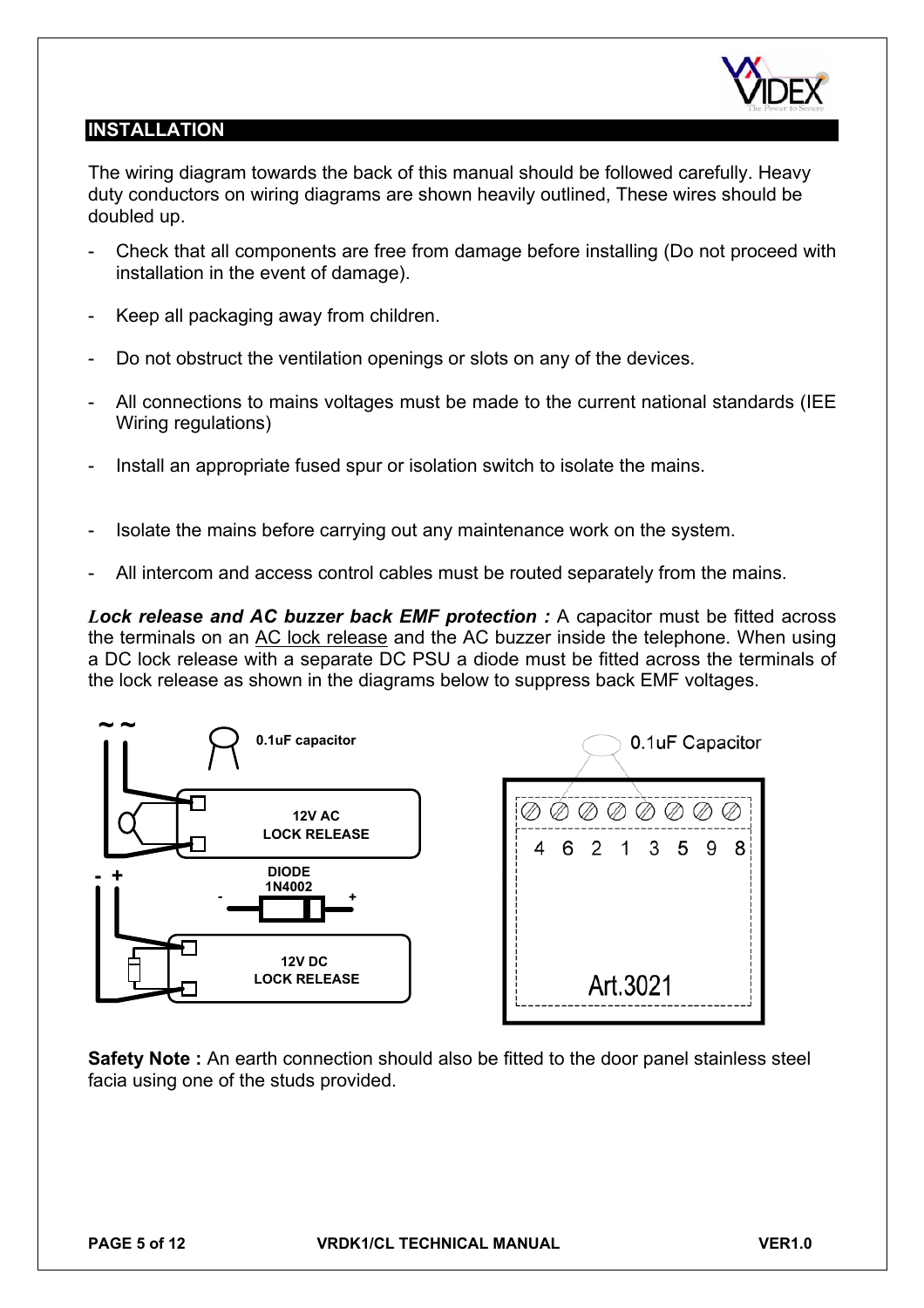

#### **INSTALLATION**

The wiring diagram towards the back of this manual should be followed carefully. Heavy duty conductors on wiring diagrams are shown heavily outlined, These wires should be doubled up.

- Check that all components are free from damage before installing (Do not proceed with installation in the event of damage).
- Keep all packaging away from children.
- Do not obstruct the ventilation openings or slots on any of the devices.
- All connections to mains voltages must be made to the current national standards (IEE Wiring regulations)
- Install an appropriate fused spur or isolation switch to isolate the mains.
- Isolate the mains before carrying out any maintenance work on the system.
- All intercom and access control cables must be routed separately from the mains.

*Lock release and AC buzzer back EMF protection : A capacitor must be fitted across* the terminals on an AC lock release and the AC buzzer inside the telephone. When using a DC lock release with a separate DC PSU a diode must be fitted across the terminals of the lock release as shown in the diagrams below to suppress back EMF voltages.



**Safety Note :** An earth connection should also be fitted to the door panel stainless steel facia using one of the studs provided.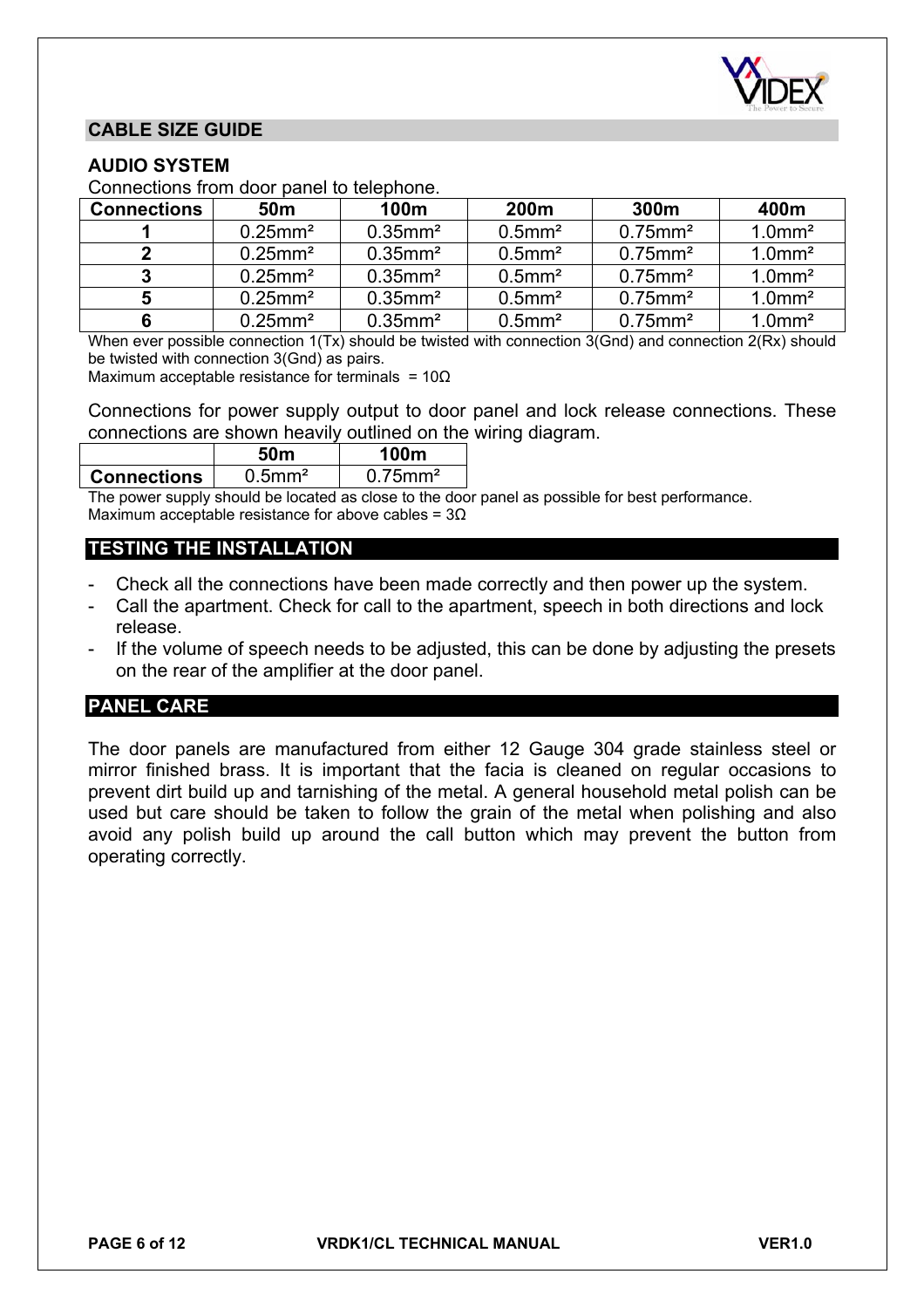

#### **CABLE SIZE GUIDE**

#### **AUDIO SYSTEM**

| Connections from door panel to telephone. |  |
|-------------------------------------------|--|
|-------------------------------------------|--|

| <b>Connections</b> | 50 <sub>m</sub>        | 100m                   | 200m                  | 300m                   | 400m                  |
|--------------------|------------------------|------------------------|-----------------------|------------------------|-----------------------|
|                    | $0.25$ mm <sup>2</sup> | $0.35$ mm <sup>2</sup> | $0.5$ mm <sup>2</sup> | $0.75$ mm <sup>2</sup> | $1.0$ mm <sup>2</sup> |
| 2                  | $0.25$ mm <sup>2</sup> | $0.35$ mm <sup>2</sup> | $0.5$ mm <sup>2</sup> | $0.75$ mm <sup>2</sup> | $1.0$ mm <sup>2</sup> |
| 3                  | $0.25$ mm <sup>2</sup> | $0.35$ mm <sup>2</sup> | $0.5$ mm <sup>2</sup> | $0.75$ mm <sup>2</sup> | $1.0$ mm <sup>2</sup> |
| 5                  | $0.25$ mm <sup>2</sup> | $0.35$ mm <sup>2</sup> | $0.5$ mm <sup>2</sup> | $0.75$ mm <sup>2</sup> | $1.0$ mm <sup>2</sup> |
| 6                  | $0.25$ mm <sup>2</sup> | $0.35$ mm <sup>2</sup> | $0.5$ mm <sup>2</sup> | $0.75$ mm <sup>2</sup> | $1.0$ mm <sup>2</sup> |

When ever possible connection 1(Tx) should be twisted with connection 3(Gnd) and connection 2(Rx) should be twisted with connection 3(Gnd) as pairs.

Maximum acceptable resistance for terminals =  $10\Omega$ 

Connections for power supply output to door panel and lock release connections. These connections are shown heavily outlined on the wiring diagram.

|                                                         | 50m                   | 100m                   |  |
|---------------------------------------------------------|-----------------------|------------------------|--|
| <b>Connections</b>                                      | $0.5$ mm <sup>2</sup> | $0.75$ mm <sup>2</sup> |  |
| The nouse quantu abouted be legated as along to the dee |                       |                        |  |

The power supply should be located as close to the door panel as possible for best performance. Maximum acceptable resistance for above cables =  $3\Omega$ 

#### **TESTING THE INSTALLATION**

- Check all the connections have been made correctly and then power up the system.
- Call the apartment. Check for call to the apartment, speech in both directions and lock release.
- If the volume of speech needs to be adjusted, this can be done by adjusting the presets on the rear of the amplifier at the door panel.

#### **PANEL CARE**

The door panels are manufactured from either 12 Gauge 304 grade stainless steel or mirror finished brass. It is important that the facia is cleaned on regular occasions to prevent dirt build up and tarnishing of the metal. A general household metal polish can be used but care should be taken to follow the grain of the metal when polishing and also avoid any polish build up around the call button which may prevent the button from operating correctly.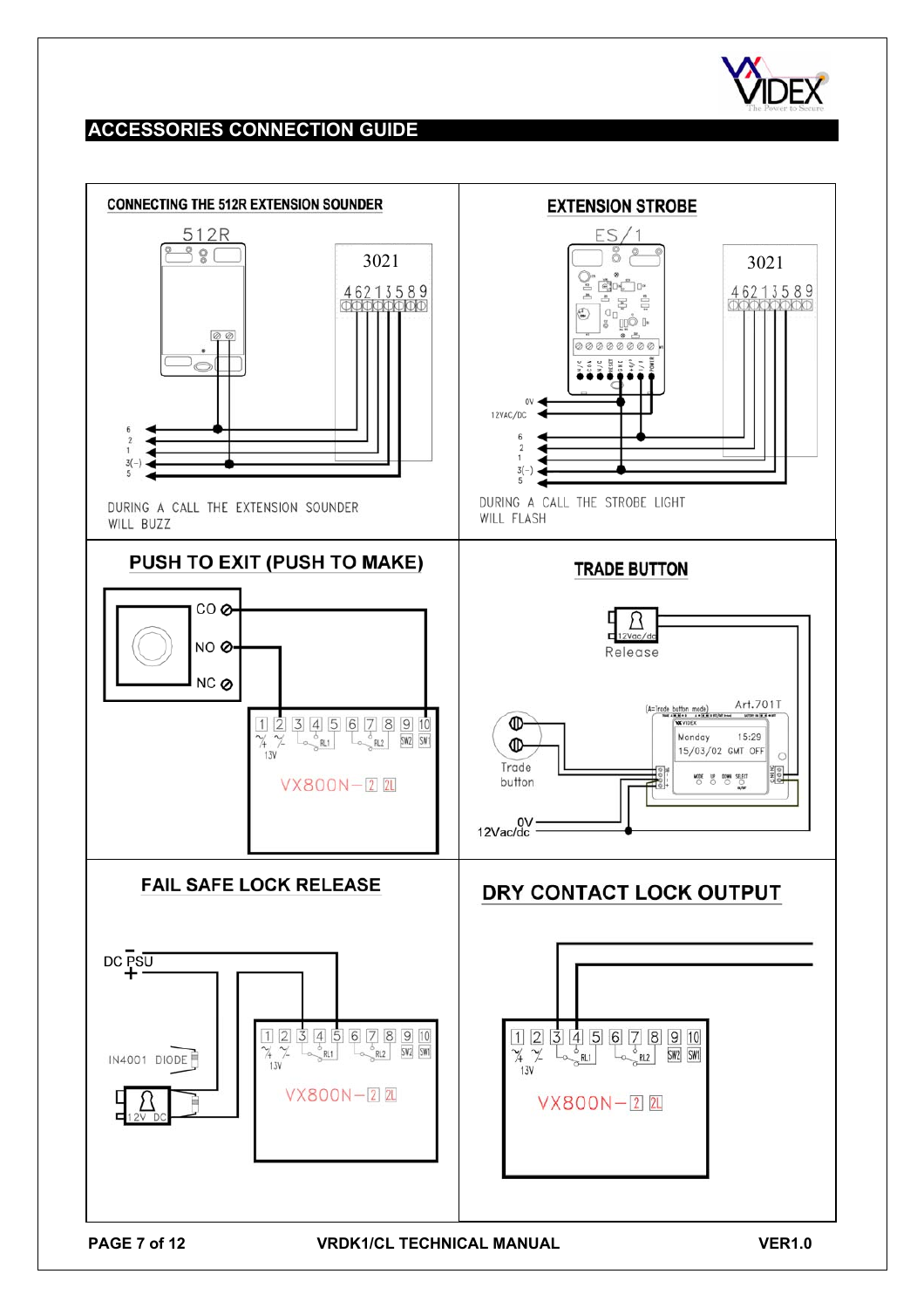

#### **ACCESSORIES CONNECTION GUIDE**

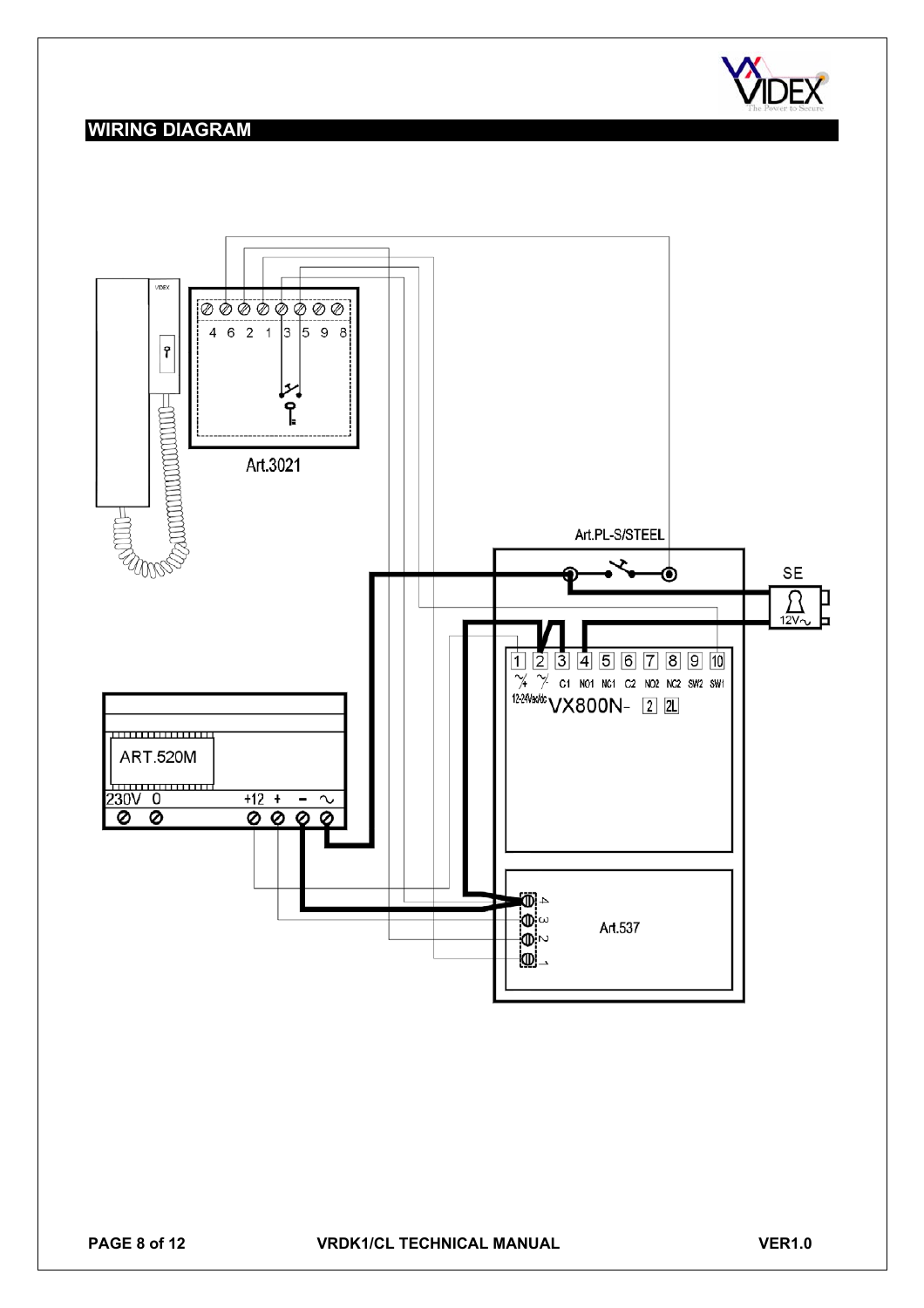

#### **WIRING DIAGRAM**

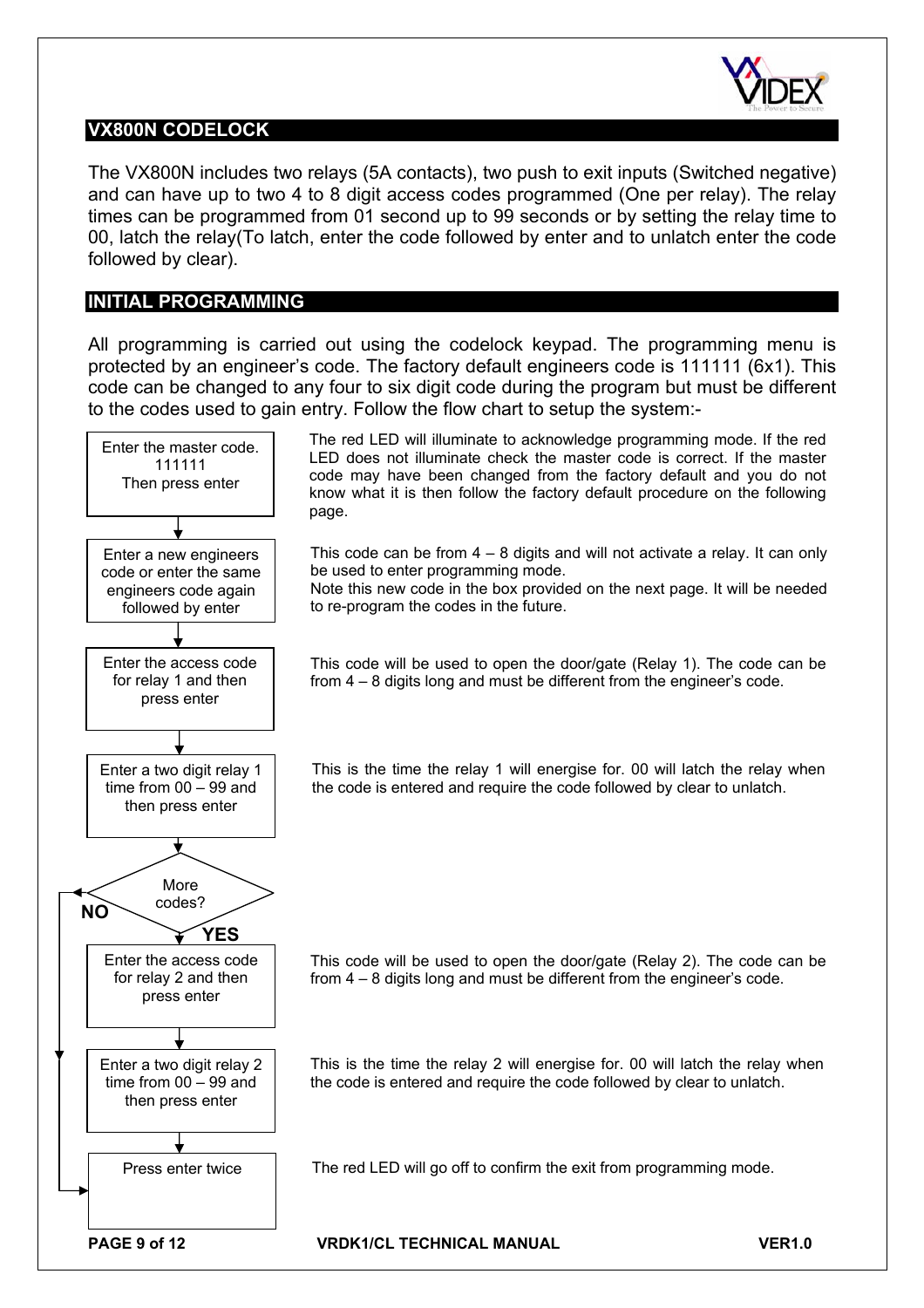

#### **VX800N CODELOCK**

The VX800N includes two relays (5A contacts), two push to exit inputs (Switched negative) and can have up to two 4 to 8 digit access codes programmed (One per relay). The relay times can be programmed from 01 second up to 99 seconds or by setting the relay time to 00, latch the relay(To latch, enter the code followed by enter and to unlatch enter the code followed by clear).

#### **INITIAL PROGRAMMING**

All programming is carried out using the codelock keypad. The programming menu is protected by an engineer's code. The factory default engineers code is 111111 (6x1). This code can be changed to any four to six digit code during the program but must be different to the codes used to gain entry. Follow the flow chart to setup the system:-

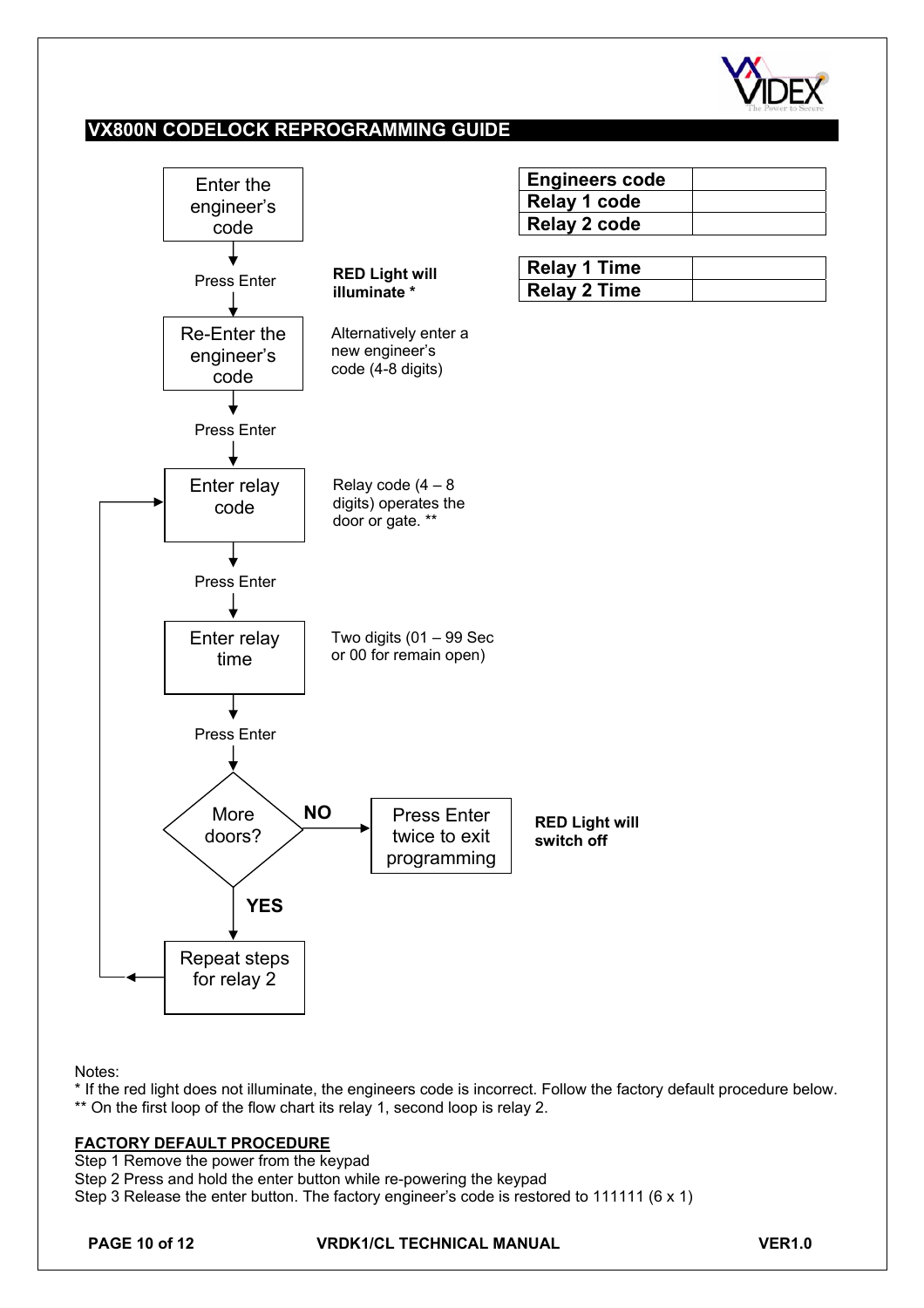

#### **VX800N CODELOCK REPROGRAMMING GUIDE**



Notes:

If the red light does not illuminate, the engineers code is incorrect. Follow the factory default procedure below. \*\* On the first loop of the flow chart its relay 1, second loop is relay 2.

#### **FACTORY DEFAULT PROCEDURE**

Step 1 Remove the power from the keypad Step 2 Press and hold the enter button while re-powering the keypad Step 3 Release the enter button. The factory engineer's code is restored to 111111 (6 x 1)

#### **PAGE 10 of 12 VRDK1/CL TECHNICAL MANUAL VER1.0**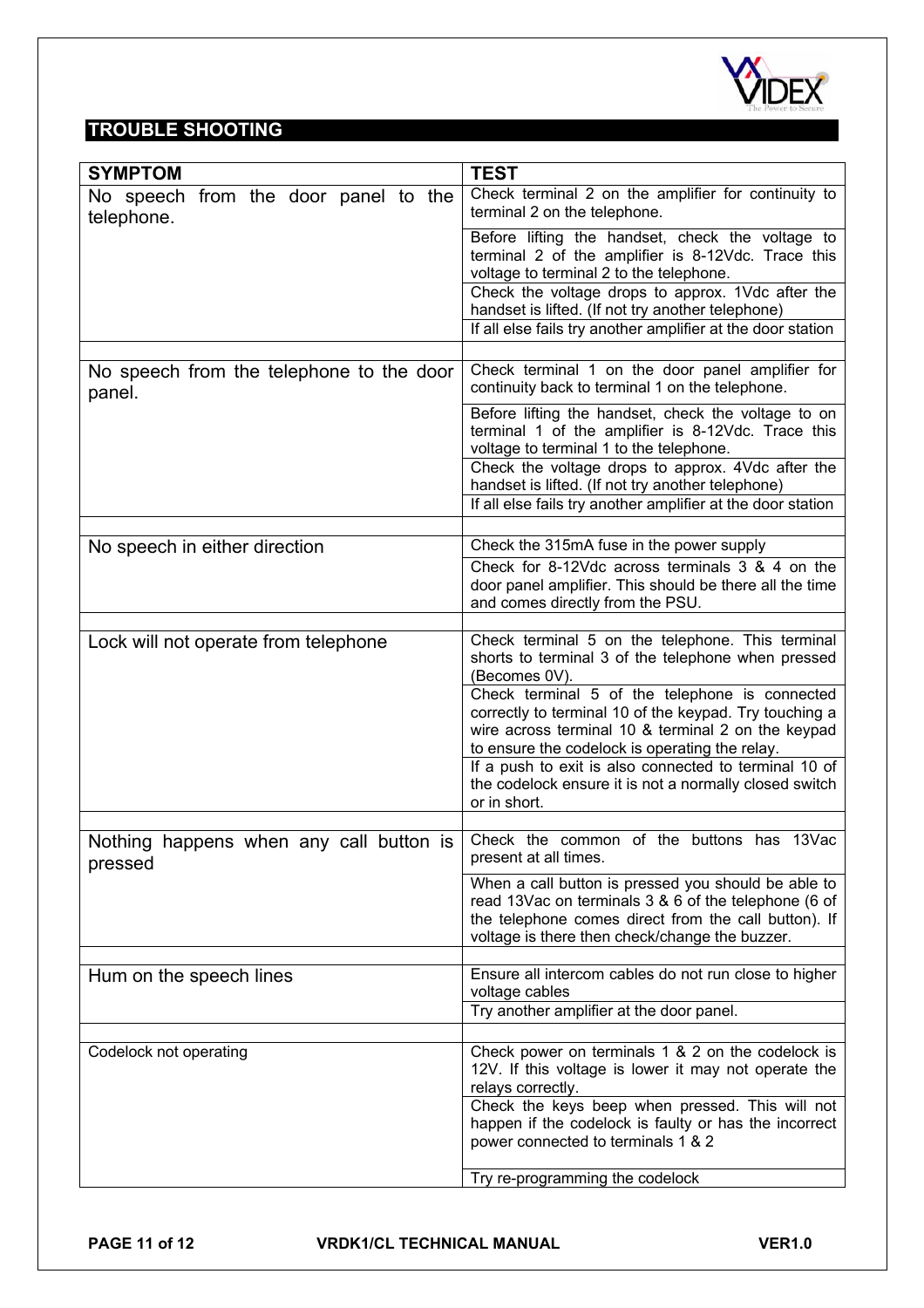

### **TROUBLE SHOOTING**

| <b>SYMPTOM</b>                                     | <b>TEST</b>                                                                                                                                                                                                                                                                                                                         |  |
|----------------------------------------------------|-------------------------------------------------------------------------------------------------------------------------------------------------------------------------------------------------------------------------------------------------------------------------------------------------------------------------------------|--|
| No speech from the door panel to the<br>telephone. | Check terminal 2 on the amplifier for continuity to<br>terminal 2 on the telephone.                                                                                                                                                                                                                                                 |  |
|                                                    | Before lifting the handset, check the voltage to<br>terminal 2 of the amplifier is 8-12Vdc. Trace this<br>voltage to terminal 2 to the telephone.<br>Check the voltage drops to approx. 1Vdc after the                                                                                                                              |  |
|                                                    | handset is lifted. (If not try another telephone)<br>If all else fails try another amplifier at the door station                                                                                                                                                                                                                    |  |
| No speech from the telephone to the door<br>panel. | Check terminal 1 on the door panel amplifier for<br>continuity back to terminal 1 on the telephone.                                                                                                                                                                                                                                 |  |
|                                                    | Before lifting the handset, check the voltage to on<br>terminal 1 of the amplifier is 8-12Vdc. Trace this<br>voltage to terminal 1 to the telephone.<br>Check the voltage drops to approx. 4Vdc after the<br>handset is lifted. (If not try another telephone)                                                                      |  |
|                                                    | If all else fails try another amplifier at the door station                                                                                                                                                                                                                                                                         |  |
|                                                    |                                                                                                                                                                                                                                                                                                                                     |  |
| No speech in either direction                      | Check the 315mA fuse in the power supply<br>Check for 8-12Vdc across terminals 3 & 4 on the                                                                                                                                                                                                                                         |  |
|                                                    | door panel amplifier. This should be there all the time<br>and comes directly from the PSU.                                                                                                                                                                                                                                         |  |
| Lock will not operate from telephone               | Check terminal 5 on the telephone. This terminal<br>shorts to terminal 3 of the telephone when pressed<br>(Becomes 0V).                                                                                                                                                                                                             |  |
|                                                    | Check terminal 5 of the telephone is connected<br>correctly to terminal 10 of the keypad. Try touching a<br>wire across terminal 10 & terminal 2 on the keypad<br>to ensure the codelock is operating the relay.<br>If a push to exit is also connected to terminal 10 of<br>the codelock ensure it is not a normally closed switch |  |
|                                                    | or in short.                                                                                                                                                                                                                                                                                                                        |  |
| Nothing happens when any call button is<br>pressed | Check the common of the buttons has 13Vac<br>present at all times.                                                                                                                                                                                                                                                                  |  |
|                                                    | When a call button is pressed you should be able to<br>read 13Vac on terminals 3 & 6 of the telephone (6 of<br>the telephone comes direct from the call button). If<br>voltage is there then check/change the buzzer.                                                                                                               |  |
|                                                    | Ensure all intercom cables do not run close to higher                                                                                                                                                                                                                                                                               |  |
| Hum on the speech lines                            | voltage cables                                                                                                                                                                                                                                                                                                                      |  |
|                                                    | Try another amplifier at the door panel.                                                                                                                                                                                                                                                                                            |  |
| Codelock not operating                             | Check power on terminals 1 & 2 on the codelock is<br>12V. If this voltage is lower it may not operate the<br>relays correctly.                                                                                                                                                                                                      |  |
|                                                    | Check the keys beep when pressed. This will not<br>happen if the codelock is faulty or has the incorrect<br>power connected to terminals 1 & 2                                                                                                                                                                                      |  |
|                                                    | Try re-programming the codelock                                                                                                                                                                                                                                                                                                     |  |